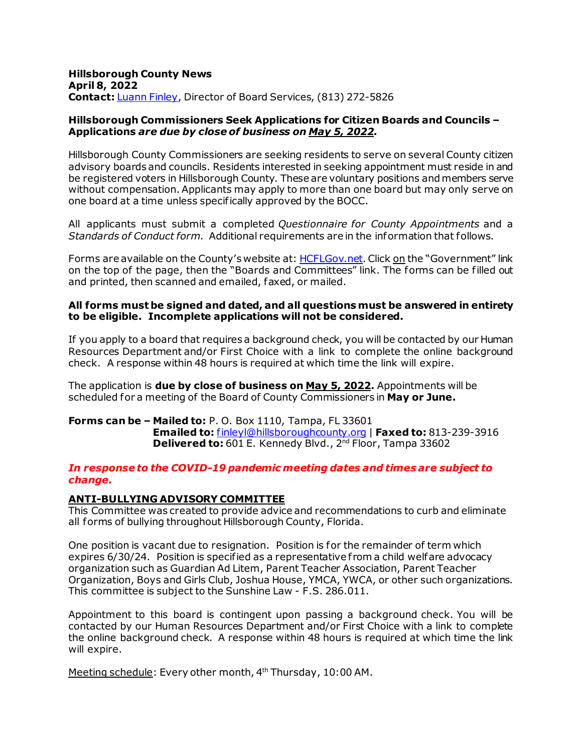#### April 8, 2022 **Hillsborough County News Contact:** *Luann Finley*, Director of Board Services, (813) 272-5826

#### **Hillsborough Commissioners Seek Applications for Citizen Boards and Councils – Applications** *are due by close of business on May 5, 2022.*

 without compensation. Applicants may apply to more than one board but may only serve on one board at a time unless specifically approved by the BOCC. Hillsborough County Commissioners are seeking residents to serve on several County citizen advisory boards and councils. Residents interested in seeking appointment must reside in and be registered voters in Hillsborough County. These are voluntary positions and members serve

 All applicants must submit a completed *Questionnaire for County Appointments* and a *Standards of Conduct form*. Additional requirements are in the information that follows.

Forms are available on the County's website at[: HCFLGov.net](http://www.hillsboroughcounty.org/). Click on the "Government" link on the top of the page, then the "Boards and Committees" link. The forms can be filled out and printed, then scanned and emailed, faxed, or mailed.

#### **to be eligible. Incomplete applications will not be considered. All forms must be signed and dated, and all questions must be answered in entirety**

 Resources Department and/or First Choice with a link to complete the online background check. A response within 48 hours is required at which time the link will expire. If you apply to a board that requires a background check, you will be contacted by our Human

 The application is **due by close of business on May 5, 2022.** Appointments will be scheduled for a meeting of the Board of County Commissioners in **May or June.** 

#### **Forms can be – Mailed to:** P. O. Box 1110, Tampa, FL 33601 **Emailed to:** [finleyl@hillsboroughcounty.org](mailto:finleyl@hillsboroughcounty.org) | **Faxed to:** 813-239-3916 **Delivered to:** 601 E. Kennedy Blvd., 2nd Floor, Tampa 33602

#### *In response to the COVID-19 pandemic meeting dates and times are subject to change.*

## **ANTI-BULLYING ADVISORY COMMITTEE**

This Committee was created to provide advice and recommendations to curb and eliminate all forms of bullying throughout Hillsborough County, Florida.

 One position is vacant due to resignation. Position is for the remainder of term which expires 6/30/24. Position is specified as a representative f rom a child welfare advocacy organization such as Guardian Ad Litem, Parent Teacher Association, Parent Teacher Organization, Boys and Girls Club, Joshua House, YMCA, YWCA, or other such organizations. This committee is subject to the Sunshine Law - F.S. 286.011.

 Appointment to this board is contingent upon passing a background check. You will be contacted by our Human Resources Department and/or First Choice with a link to complete the online background check. A response within 48 hours is required at which time the link will expire.

Meeting schedule: Every other month, 4<sup>th</sup> Thursday, 10:00 AM.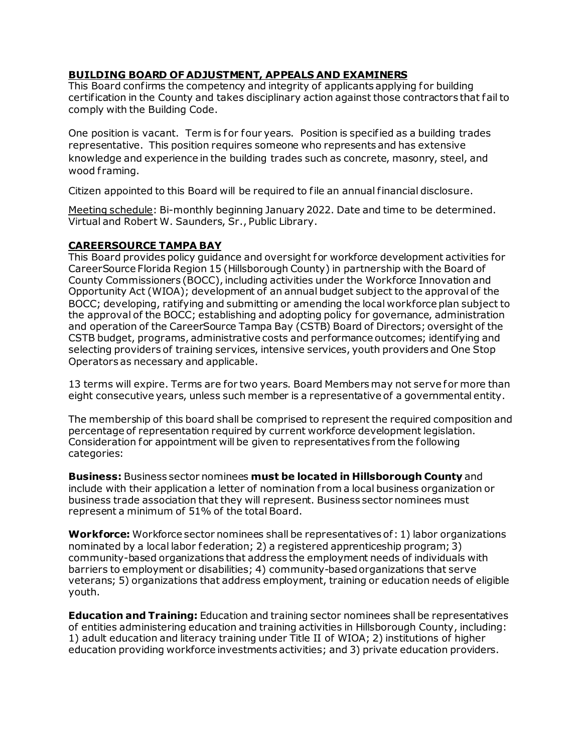## **BUILDING BOARD OF ADJUSTMENT, APPEALS AND EXAMINERS**

 comply with the Building Code. This Board confirms the competency and integrity of applicants applying for building certification in the County and takes disciplinary action against those contractors that fail to

 One position is vacant. Term is for four years. Position is specified as a building trades representative. This position requires someone who represents and has extensive knowledge and experience in the building trades such as concrete, masonry, steel, and wood framing.

Citizen appointed to this Board will be required to file an annual financial disclosure.

 Meeting schedule: Bi-monthly beginning January 2022. Date and time to be determined. Virtual and Robert W. Saunders, Sr., Public Library.

## **CAREERSOURCE TAMPA BAY**

This Board provides policy guidance and oversight for workforce development activities for CareerSource Florida Region 15 (Hillsborough County) in partnership with the Board of County Commissioners (BOCC), including activities under the Workforce Innovation and Opportunity Act (WIOA); development of an annual budget subject to the approval of the BOCC; developing, ratifying and submitting or amending the local workforce plan subject to the approval of the BOCC; establishing and adopting policy for governance, administration and operation of the CareerSource Tampa Bay (CSTB) Board of Directors; oversight of the CSTB budget, programs, administrative costs and performance outcomes; identifying and selecting providers of training services, intensive services, youth providers and One Stop Operators as necessary and applicable.

 13 terms will expire. Terms are for two years. Board Members may not serve for more than eight consecutive years, unless such member is a representative of a governmental entity.

 Consideration for appointment will be given to representatives f rom the following The membership of this board shall be comprised to represent the required composition and percentage of representation required by current workforce development legislation. categories:

 include with their application a letter of nomination f rom a local business organization or **Business:** Business sector nominees **must be located in Hillsborough County** and business trade association that they will represent. Business sector nominees must represent a minimum of 51% of the total Board.

**Workforce:** Workforce sector nominees shall be representatives of: 1) labor organizations nominated by a local labor federation; 2) a registered apprenticeship program; 3) community-based organizations that address the employment needs of individuals with barriers to employment or disabilities; 4) community-based organizations that serve veterans; 5) organizations that address employment, training or education needs of eligible youth.

 1) adult education and literacy training under Title II of WIOA; 2) institutions of higher **Education and Training:** Education and training sector nominees shall be representatives of entities administering education and training activities in Hillsborough County, including: education providing workforce investments activities; and 3) private education providers.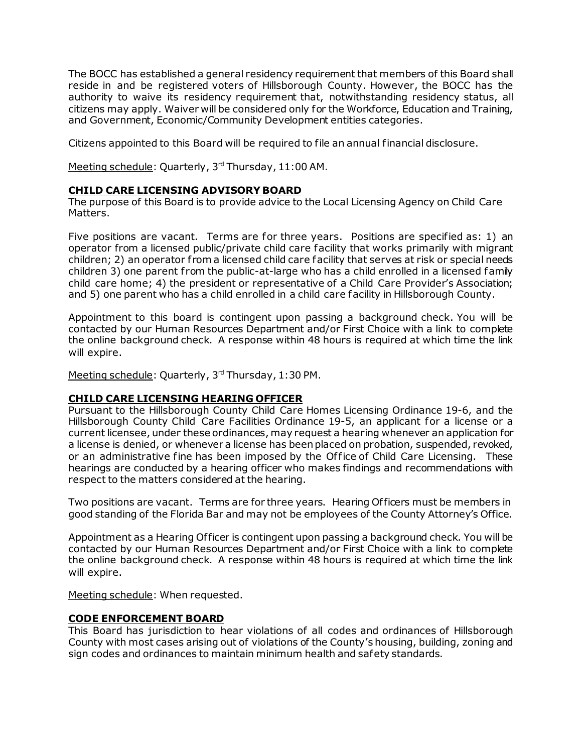reside in and be registered voters of Hillsborough County. However, the BOCC has the authority to waive its residency requirement that, notwithstanding residency status, all and Government, Economic/Community Development entities categories. The BOCC has established a general residency requirement that members of this Board shall citizens may apply. Waiver will be considered only for the Workforce, Education and Training,

Citizens appointed to this Board will be required to file an annual financial disclosure.

Meeting schedule: Quarterly, 3<sup>rd</sup> Thursday, 11:00 AM.

## **CHILD CARE LICENSING ADVISORY BOARD**

 The purpose of this Board is to provide advice to the Local Licensing Agency on Child Care Matters.

 Five positions are vacant. Terms are for three years. Positions are specified as: 1) an and 5) one parent who has a child enrolled in a child care facility in Hillsborough County. operator from a licensed public/private child care facility that works primarily with migrant children; 2) an operator f rom a licensed child care facility that serves at risk or special needs children 3) one parent from the public-at-large who has a child enrolled in a licensed family child care home; 4) the president or representative of a Child Care Provider's Association;

 Appointment to this board is contingent upon passing a background check. You will be the online background check. A response within 48 hours is required at which time the link contacted by our Human Resources Department and/or First Choice with a link to complete will expire.

Meeting schedule: Quarterly, 3rd Thursday, 1:30 PM.

#### **CHILD CARE LICENSING HEARING OFFICER**

 Hillsborough County Child Care Facilities Ordinance 19-5, an applicant for a license or a or an administrative fine has been imposed by the Of fice of Child Care Licensing. These Pursuant to the Hillsborough County Child Care Homes Licensing Ordinance 19-6, and the current licensee, under these ordinances, may request a hearing whenever an application for a license is denied, or whenever a license has been placed on probation, suspended, revoked, hearings are conducted by a hearing officer who makes findings and recommendations with respect to the matters considered at the hearing.

 Two positions are vacant. Terms are for three years. Hearing Of ficers must be members in good standing of the Florida Bar and may not be employees of the County Attorney's Office.

 contacted by our Human Resources Department and/or First Choice with a link to complete the online background check. A response within 48 hours is required at which time the link Appointment as a Hearing Of ficer is contingent upon passing a background check. You will be will expire.

Meeting schedule: When requested.

#### **CODE ENFORCEMENT BOARD**

 This Board has jurisdiction to hear violations of all codes and ordinances of Hillsborough County with most cases arising out of violations of the County's housing, building, zoning and sign codes and ordinances to maintain minimum health and safety standards.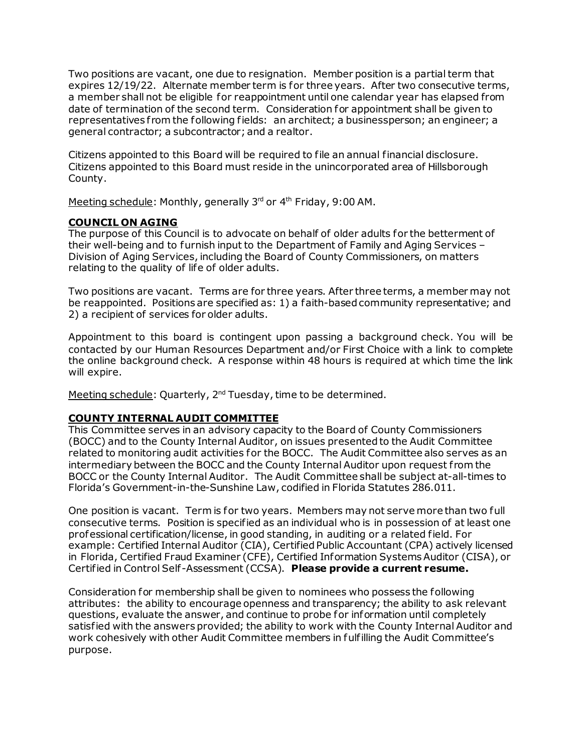expires 12/19/22. Alternate member term is for three years. After two consecutive terms, a member shall not be eligible for reappointment until one calendar year has elapsed from date of termination of the second term. Consideration for appointment shall be given to representatives f rom the following fields: an architect; a businessperson; an engineer; a general contractor; a subcontractor; and a realtor. Two positions are vacant, one due to resignation. Member position is a partial term that

general contractor; a subcontractor; and a realtor.<br>Citizens appointed to this Board will be required to file an annual financial disclosure. Citizens appointed to this Board must reside in the unincorporated area of Hillsborough County.

Meeting schedule: Monthly, generally 3<sup>rd</sup> or 4<sup>th</sup> Friday, 9:00 AM.

# **COUNCIL ON AGING**

 The purpose of this Council is to advocate on behalf of older adults for the betterment of their well-being and to furnish input to the Department of Family and Aging Services – relating to the quality of life of older adults. Division of Aging Services, including the Board of County Commissioners, on matters

 Two positions are vacant. Terms are for three years. After three terms, a member may not be reappointed. Positions are specified as: 1) a faith-based community representative; and 2) a recipient of services for older adults.

 Appointment to this board is contingent upon passing a background check. You will be contacted by our Human Resources Department and/or First Choice with a link to complete the online background check. A response within 48 hours is required at which time the link will expire.

Meeting schedule: Quarterly, 2<sup>nd</sup> Tuesday, time to be determined.

# **COUNTY INTERNAL AUDIT COMMITTEE**

 (BOCC) and to the County Internal Auditor, on issues presented to the Audit Committee related to monitoring audit activities for the BOCC. The Audit Committee also serves as an BOCC or the County Internal Auditor. The Audit Committee shall be subject at-all-times to This Committee serves in an advisory capacity to the Board of County Commissioners intermediary between the BOCC and the County Internal Auditor upon request from the Florida's Government-in-the-Sunshine Law, codified in Florida Statutes 286.011.

 One position is vacant. Term is for two years. Members may not serve more than two full consecutive terms. Position is specified as an individual who is in possession of at least one professional certification/license, in good standing, in auditing or a related field. For Certified in Control Self-Assessment (CCSA). **Please provide a current resume.**  example: Certified Internal Auditor (CIA), Certified Public Accountant (CPA) actively licensed in Florida, Certified Fraud Examiner (CFE), Certified Information Systems Auditor (CISA), or

 Consideration for membership shall be given to nominees who possess the following attributes: the ability to encourage openness and transparency; the ability to ask relevant work cohesively with other Audit Committee members in fulfilling the Audit Committee's questions, evaluate the answer, and continue to probe for information until completely satisfied with the answers provided; the ability to work with the County Internal Auditor and purpose.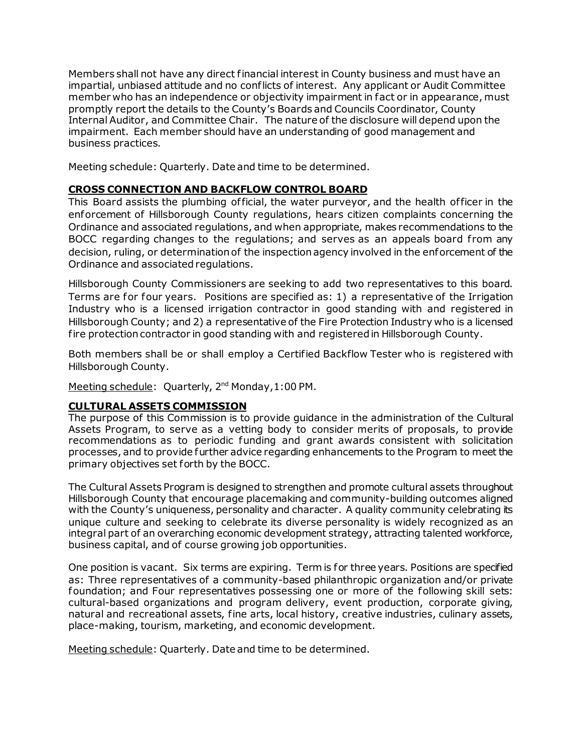impartial, unbiased attitude and no conflicts of interest. Any applicant or Audit Committee Internal Auditor, and Committee Chair. The nature of the disclosure will depend upon the business practices. Members shall not have any direct financial interest in County business and must have an member who has an independence or objectivity impairment in fact or in appearance, must promptly report the details to the County's Boards and Councils Coordinator, County impairment. Each member should have an understanding of good management and

Meeting schedule: Quarterly. Date and time to be determined.

# **CROSS CONNECTION AND BACKFLOW CONTROL BOARD**

This Board assists the plumbing official, the water purveyor, and the health officer in the enforcement of Hillsborough County regulations, hears citizen complaints concerning the BOCC regarding changes to the regulations; and serves as an appeals board from any Ordinance and associated regulations, and when appropriate, makes recommendations to the decision, ruling, or determination of the inspectionagency involved in the enforcement of the Ordinance and associated regulations.

 Hillsborough County Commissioners are seeking to add two representatives to this board. Terms are for four years. Positions are specified as: 1) a representative of the Irrigation Industry who is a licensed irrigation contractor in good standing with and registered in fire protection contractor in good standing with and registered in Hillsborough County. Hillsborough County; and 2) a representative of the Fire Protection Industry who is a licensed

 Both members shall be or shall employ a Certified Backflow Tester who is registered with Hillsborough County.

Meeting schedule: Quarterly, 2<sup>nd</sup> Monday, 1:00 PM.

## **CULTURAL ASSETS COMMISSION**

 Assets Program, to serve as a vetting body to consider merits of proposals, to provide recommendations as to periodic funding and grant awards consistent with solicitation The purpose of this Commission is to provide guidance in the administration of the Cultural processes, and to provide further advice regarding enhancements to the Program to meet the primary objectives set forth by the BOCC.

 unique culture and seeking to celebrate its diverse personality is widely recognized as an The Cultural Assets Program is designed to strengthen and promote cultural assets throughout Hillsborough County that encourage placemaking and community-building outcomes aligned with the County's uniqueness, personality and character. A quality community celebrating its integral part of an overarching economic development strategy, attracting talented workforce, business capital, and of course growing job opportunities.

 One position is vacant. Six terms are expiring. Term is for three years. Positions are specified as: Three representatives of a community-based philanthropic organization and/or private foundation; and Four representatives possessing one or more of the following skill sets: cultural-based organizations and program delivery, event production, corporate giving, natural and recreational assets, fine arts, local history, creative industries, culinary assets, place-making, tourism, marketing, and economic development.

Meeting schedule: Quarterly. Date and time to be determined.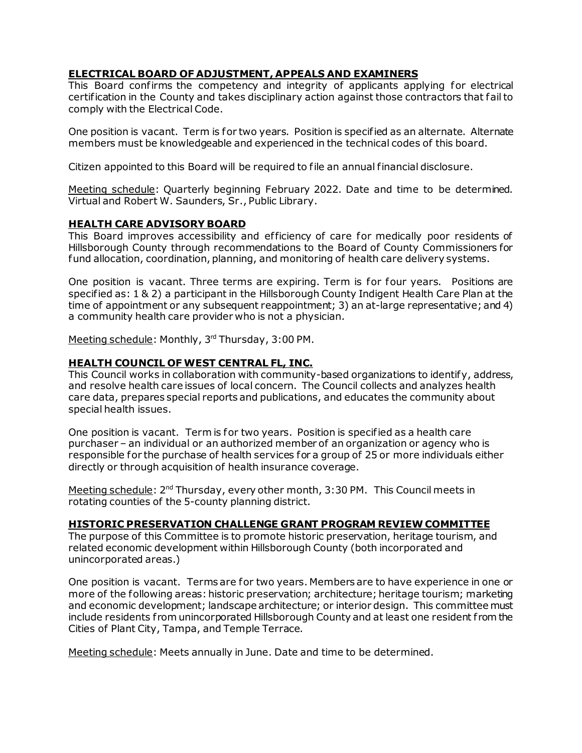## **ELECTRICAL BOARD OF ADJUSTMENT, APPEALS AND EXAMINERS**

 This Board confirms the competency and integrity of applicants applying for electrical certification in the County and takes disciplinary action against those contractors that fail to comply with the Electrical Code.

One position is vacant. Term is for two years. Position is specified as an alternate. Alternate members must be knowledgeable and experienced in the technical codes of this board.

Citizen appointed to this Board will be required to file an annual financial disclosure.

 Meeting schedule: Quarterly beginning February 2022. Date and time to be determined. Virtual and Robert W. Saunders, Sr., Public Library.

## **HEALTH CARE ADVISORY BOARD**

This Board improves accessibility and efficiency of care for medically poor residents of Hillsborough County through recommendations to the Board of County Commissioners for fund allocation, coordination, planning, and monitoring of health care delivery systems.

 One position is vacant. Three terms are expiring. Term is for four years. Positions are specified as: 1 & 2) a participant in the Hillsborough County Indigent Health Care Plan at the a community health care provider who is not a physician. time of appointment or any subsequent reappointment; 3) an at-large representative; and 4)

Meeting schedule: Monthly, 3rd Thursday, 3:00 PM.

## **HEALTH COUNCIL OF WEST CENTRAL FL, INC.**

 This Council works in collaboration with community-based organizations to identify, address, and resolve health care issues of local concern. The Council collects and analyzes health care data, prepares special reports and publications, and educates the community about special health issues.

 One position is vacant. Term is for two years. Position is specified as a health care purchaser – an individual or an authorized member of an organization or agency who is responsible for the purchase of health services for a group of 25 or more individuals either directly or through acquisition of health insurance coverage.

Meeting schedule: 2<sup>nd</sup> Thursday, every other month, 3:30 PM. This Council meets in rotating counties of the 5-county planning district.

#### **HISTORIC PRESERVATION CHALLENGE GRANT PROGRAM REVIEW COMMITTEE**

The purpose of this Committee is to promote historic preservation, heritage tourism, and related economic development within Hillsborough County (both incorporated and unincorporated areas.)

 One position is vacant. Terms are for two years. Members are to have experience in one or more of the following areas: historic preservation; architecture; heritage tourism; marketing and economic development; landscape architecture; or interior design. This committee must include residents from unincorporated Hillsborough County and at least one resident from the Cities of Plant City, Tampa, and Temple Terrace.

Meeting schedule: Meets annually in June. Date and time to be determined.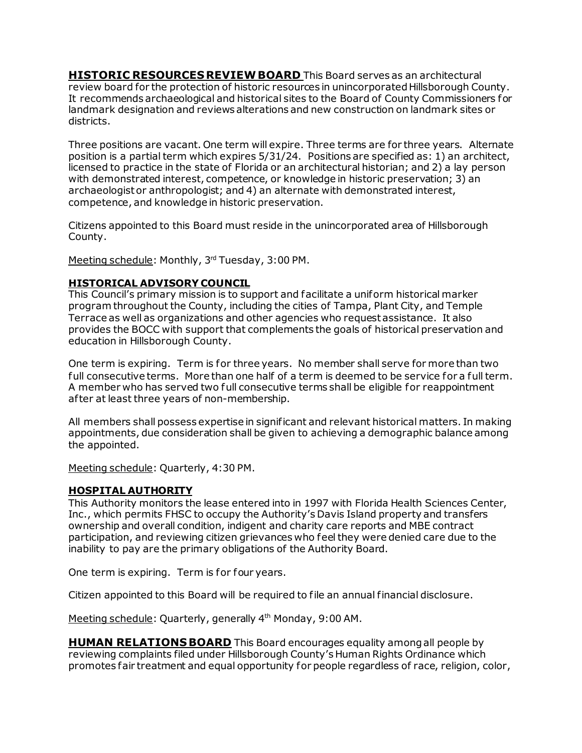**HISTORIC RESOURCES REVIEW BOARD** This Board serves as an architectural review board for the protection of historic resources in unincorporated Hillsborough County. It recommends archaeological and historical sites to the Board of County Commissioners for landmark designation and reviews alterations and new construction on landmark sites or districts.

 Three positions are vacant. One term will expire. Three terms are for three years. Alternate position is a partial term which expires 5/31/24. Positions are specified as: 1) an architect, licensed to practice in the state of Florida or an architectural historian; and 2) a lay person with demonstrated interest, competence, or knowledge in historic preservation; 3) an archaeologist or anthropologist; and 4) an alternate with demonstrated interest, competence, and knowledge in historic preservation.

 Citizens appointed to this Board must reside in the unincorporated area of Hillsborough County.

Meeting schedule: Monthly, 3rd Tuesday, 3:00 PM.

## **HISTORICAL ADVISORY COUNCIL**

 Terrace as well as organizations and other agencies who request assistance. It also This Council's primary mission is to support and facilitate a uniform historical marker program throughout the County, including the cities of Tampa, Plant City, and Temple provides the BOCC with support that complements the goals of historical preservation and education in Hillsborough County.

 One term is expiring. Term is for three years. No member shall serve for more than two full consecutive terms. More than one half of a term is deemed to be service for a full term. A member who has served two full consecutive terms shall be eligible for reappointment af ter at least three years of non-membership.

 appointments, due consideration shall be given to achieving a demographic balance among All members shall possess expertise in significant and relevant historical matters. In making the appointed.

Meeting schedule: Quarterly, 4:30 PM.

## **HOSPITAL AUTHORITY**

 This Authority monitors the lease entered into in 1997 with Florida Health Sciences Center, inability to pay are the primary obligations of the Authority Board. Inc., which permits FHSC to occupy the Authority's Davis Island property and transfers ownership and overall condition, indigent and charity care reports and MBE contract participation, and reviewing citizen grievances who feel they were denied care due to the

One term is expiring. Term is for four years.

Citizen appointed to this Board will be required to file an annual financial disclosure.

<u>Meeting schedule</u>: Quarterly, generally 4<sup>th</sup> Monday, 9:00 AM.

 **HUMAN RELATIONS BOARD** This Board encourages equality among all people by reviewing complaints filed under Hillsborough County's Human Rights Ordinance which promotes fair treatment and equal opportunity for people regardless of race, religion, color,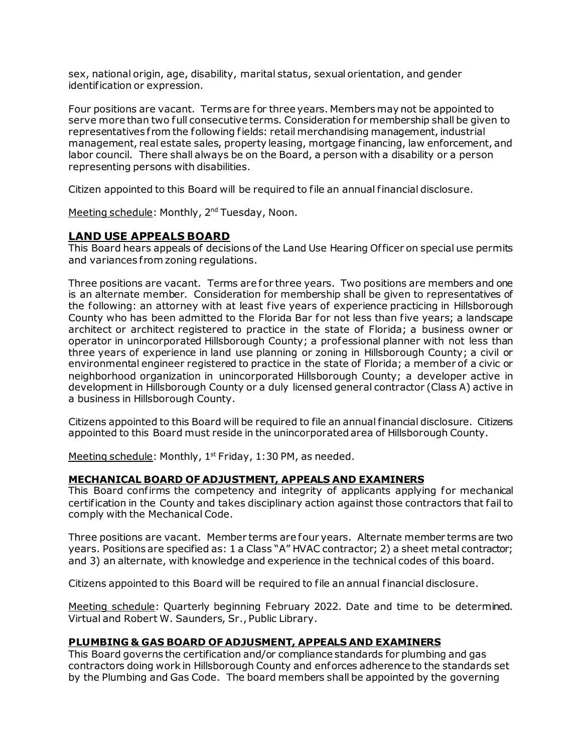sex, national origin, age, disability, marital status, sexual orientation, and gender identification or expression.

 Four positions are vacant. Terms are for three years. Members may not be appointed to serve more than two full consecutive terms. Consideration for membership shall be given to labor council. There shall always be on the Board, a person with a disability or a person representatives from the following fields: retail merchandising management, industrial management, real estate sales, property leasing, mortgage financing, law enforcement, and representing persons with disabilities.

Citizen appointed to this Board will be required to file an annual financial disclosure.

Meeting schedule: Monthly, 2<sup>nd</sup> Tuesday, Noon.

## **LAND USE APPEALS BOARD**

This Board hears appeals of decisions of the Land Use Hearing Of ficer on special use permits and variances from zoning regulations.

 Three positions are vacant. Terms are for three years. Two positions are members and one is an alternate member. Consideration for membership shall be given to representatives of the following: an attorney with at least five years of experience practicing in Hillsborough architect or architect registered to practice in the state of Florida; a business owner or operator in unincorporated Hillsborough County; a professional planner with not less than three years of experience in land use planning or zoning in Hillsborough County; a civil or environmental engineer registered to practice in the state of Florida; a member of a civic or neighborhood organization in unincorporated Hillsborough County; a developer active in development in Hillsborough County or a duly licensed general contractor (Class A) active in County who has been admitted to the Florida Bar for not less than five years; a landscape a business in Hillsborough County.

 Citizens appointed to this Board will be required to file an annual financial disclosure. Citizens appointed to this Board must reside in the unincorporated area of Hillsborough County.

Meeting schedule: Monthly,  $1<sup>st</sup>$  Friday, 1:30 PM, as needed.

#### **MECHANICAL BOARD OF ADJUSTMENT, APPEALS AND EXAMINERS**

 This Board confirms the competency and integrity of applicants applying for mechanical certification in the County and takes disciplinary action against those contractors that fail to comply with the Mechanical Code.

 Three positions are vacant. Member terms are four years. Alternate member terms are two and 3) an alternate, with knowledge and experience in the technical codes of this board. years. Positions are specified as: 1 a Class "A" HVAC contractor; 2) a sheet metal contractor;

and 3) an alternate, with knowledge and experience in the technical codes of this board.<br>Citizens appointed to this Board will be required to file an annual financial disclosure.

 Meeting schedule: Quarterly beginning February 2022. Date and time to be determined. Virtual and Robert W. Saunders, Sr., Public Library.

#### **PLUMBING & GAS BOARD OF ADJUSMENT, APPEALS AND EXAMINERS**

 by the Plumbing and Gas Code. The board members shall be appointed by the governing This Board governs the certification and/or compliance standards for plumbing and gas contractors doing work in Hillsborough County and enforces adherence to the standards set